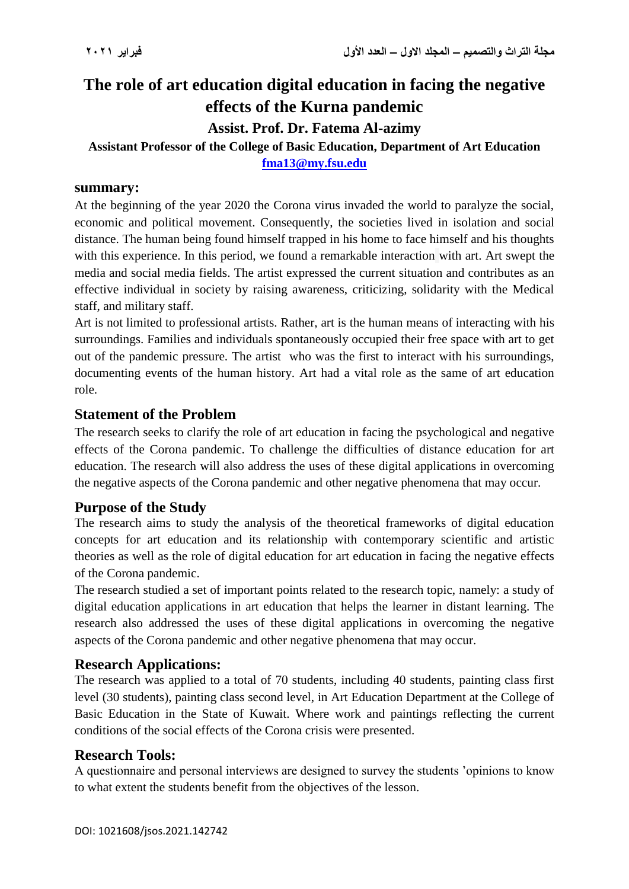# **The role of art education digital education in facing the negative effects of the Kurna pandemic**

**Assist. Prof. Dr. Fatema Al-azimy**

**Assistant Professor of the College of Basic Education, Department of Art Education [fma13@my.fsu.edu](mailto:fma13@my.fsu.edu)**

#### **summary:**

At the beginning of the year 2020 the Corona virus invaded the world to paralyze the social, economic and political movement. Consequently, the societies lived in isolation and social distance. The human being found himself trapped in his home to face himself and his thoughts with this experience. In this period, we found a remarkable interaction with art. Art swept the media and social media fields. The artist expressed the current situation and contributes as an effective individual in society by raising awareness, criticizing, solidarity with the Medical staff, and military staff.

Art is not limited to professional artists. Rather, art is the human means of interacting with his surroundings. Families and individuals spontaneously occupied their free space with art to get out of the pandemic pressure. The artist who was the first to interact with his surroundings, documenting events of the human history. Art had a vital role as the same of art education role.

## **Statement of the Problem**

The research seeks to clarify the role of art education in facing the psychological and negative effects of the Corona pandemic. To challenge the difficulties of distance education for art education. The research will also address the uses of these digital applications in overcoming the negative aspects of the Corona pandemic and other negative phenomena that may occur.

### **Purpose of the Study**

The research aims to study the analysis of the theoretical frameworks of digital education concepts for art education and its relationship with contemporary scientific and artistic theories as well as the role of digital education for art education in facing the negative effects of the Corona pandemic.

The research studied a set of important points related to the research topic, namely: a study of digital education applications in art education that helps the learner in distant learning. The research also addressed the uses of these digital applications in overcoming the negative aspects of the Corona pandemic and other negative phenomena that may occur.

### **Research Applications:**

The research was applied to a total of 70 students, including 40 students, painting class first level (30 students), painting class second level, in Art Education Department at the College of Basic Education in the State of Kuwait. Where work and paintings reflecting the current conditions of the social effects of the Corona crisis were presented.

## **Research Tools:**

A questionnaire and personal interviews are designed to survey the students 'opinions to know to what extent the students benefit from the objectives of the lesson.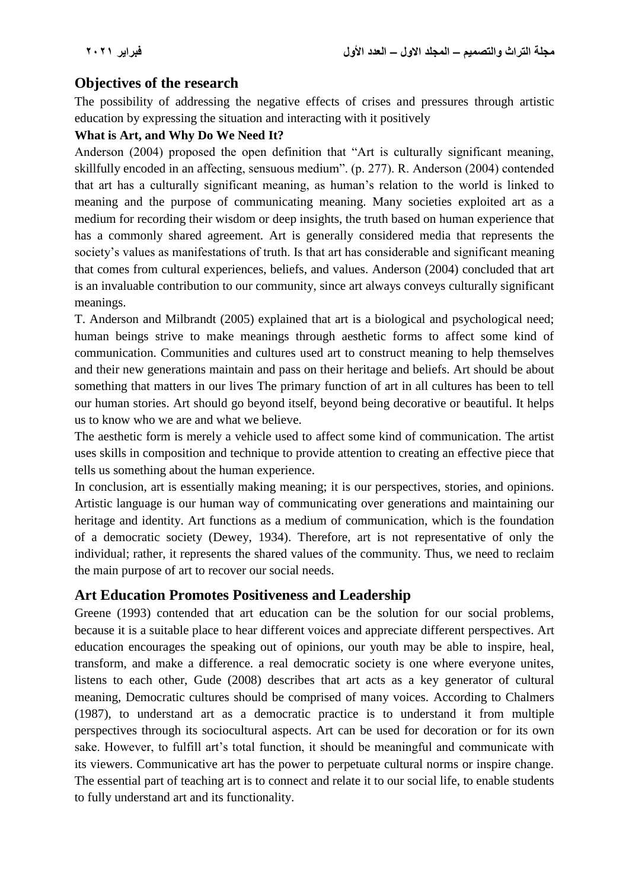# **Objectives of the research**

The possibility of addressing the negative effects of crises and pressures through artistic education by expressing the situation and interacting with it positively

## **What is Art, and Why Do We Need It?**

Anderson (2004) proposed the open definition that "Art is culturally significant meaning, skillfully encoded in an affecting, sensuous medium". (p. 277). R. Anderson (2004) contended that art has a culturally significant meaning, as human's relation to the world is linked to meaning and the purpose of communicating meaning. Many societies exploited art as a medium for recording their wisdom or deep insights, the truth based on human experience that has a commonly shared agreement. Art is generally considered media that represents the society's values as manifestations of truth. Is that art has considerable and significant meaning that comes from cultural experiences, beliefs, and values. Anderson (2004) concluded that art is an invaluable contribution to our community, since art always conveys culturally significant meanings.

T. Anderson and Milbrandt (2005) explained that art is a biological and psychological need; human beings strive to make meanings through aesthetic forms to affect some kind of communication. Communities and cultures used art to construct meaning to help themselves and their new generations maintain and pass on their heritage and beliefs. Art should be about something that matters in our lives The primary function of art in all cultures has been to tell our human stories. Art should go beyond itself, beyond being decorative or beautiful. It helps us to know who we are and what we believe.

The aesthetic form is merely a vehicle used to affect some kind of communication. The artist uses skills in composition and technique to provide attention to creating an effective piece that tells us something about the human experience.

In conclusion, art is essentially making meaning; it is our perspectives, stories, and opinions. Artistic language is our human way of communicating over generations and maintaining our heritage and identity. Art functions as a medium of communication, which is the foundation of a democratic society (Dewey, 1934). Therefore, art is not representative of only the individual; rather, it represents the shared values of the community. Thus, we need to reclaim the main purpose of art to recover our social needs.

# **Art Education Promotes Positiveness and Leadership**

Greene (1993) contended that art education can be the solution for our social problems, because it is a suitable place to hear different voices and appreciate different perspectives. Art education encourages the speaking out of opinions, our youth may be able to inspire, heal, transform, and make a difference. a real democratic society is one where everyone unites, listens to each other, Gude (2008) describes that art acts as a key generator of cultural meaning, Democratic cultures should be comprised of many voices. According to Chalmers (1987), to understand art as a democratic practice is to understand it from multiple perspectives through its sociocultural aspects. Art can be used for decoration or for its own sake. However, to fulfill art's total function, it should be meaningful and communicate with its viewers. Communicative art has the power to perpetuate cultural norms or inspire change. The essential part of teaching art is to connect and relate it to our social life, to enable students to fully understand art and its functionality.